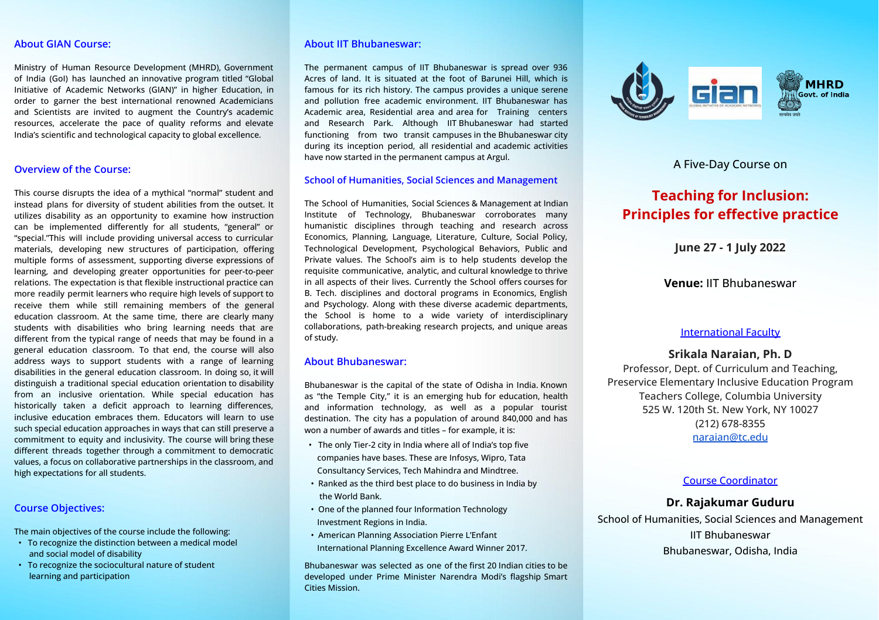## **About GIAN Course:**

Ministry of Human Resource Development (MHRD), Government of India (GoI) has launched an innovative program titled "Global Initiative of Academic Networks (GIAN)" in higher Education, in order to garner the best international renowned Academicians and Scientists are invited to augment the Country's academic resources, accelerate the pace of quality reforms and elevate India's scientific and technological capacity to global excellence.

## **Overview of the Course:**

This course disrupts the idea of a mythical "normal" student and instead plans for diversity of student abilities from the outset. It utilizes disability as an opportunity to examine how instruction can be implemented differently for all students, "general" or "special."This will include providing universal access to curricular materials, developing new structures of participation, offering multiple forms of assessment, supporting diverse expressions of learning, and developing greater opportunities for peer-to-peer relations. The expectation is that flexible instructional practice can more readily permit learners who require high levels of support to receive them while still remaining members of the general education classroom. At the same time, there are clearly many students with disabilities who bring learning needs that are different from the typical range of needs that may be found in a general education classroom. To that end, the course will also address ways to support students with a range of learning disabilities in the general education classroom. In doing so, it will distinguish a traditional special education orientation to disability from an inclusive orientation. While special education has historically taken a deficit approach to learning differences, inclusive education embraces them. Educators will learn to use such special education approaches in ways that can still preserve a commitment to equity and inclusivity. The course will bring these different threads together through a commitment to democratic values, a focus on collaborative partnerships in the classroom, and high expectations for all students.

## **Course Objectives:**

The main objectives of the course include the following:

- To recognize the distinction between a medical model and social model of disability
- To recognize the sociocultural nature of student learning and participation

## **About IIT Bhubaneswar:**

The permanent campus of IIT Bhubaneswar is spread over 936 Acres of land. It is situated at the foot of Barunei Hill, which is famous for its rich history. The campus provides a unique serene and pollution free academic environment. IIT Bhubaneswar has Academic area, Residential area and area for Training centers and Research Park. Although IIT Bhubaneswar had started functioning from two transit campuses in the Bhubaneswar city during its inception period, all residential and academic activities have now started in the permanent campus at Argul.

#### **School of Humanities, Social Sciences and Management**

The School of Humanities, Social Sciences & Management at Indian Institute of Technology, Bhubaneswar corroborates many humanistic disciplines through teaching and research across Economics, Planning, Language, Literature, Culture, Social Policy, Technological Development, Psychological Behaviors, Public and Private values. The School's aim is to help students develop the requisite communicative, analytic, and cultural knowledge to thrive in all aspects of their lives. Currently the School offers courses for B. Tech. disciplines and doctoral programs in Economics, English and Psychology. Along with these diverse academic departments, the School is home to a wide variety of interdisciplinary collaborations, path-breaking research projects, and unique areas of study.

## **About Bhubaneswar:**

Bhubaneswar is the capital of the state of Odisha in India. Known as "the Temple City," it is an emerging hub for education, health and information technology, as well as a popular tourist destination. The city has a population of around 840,000 and has won a number of awards and titles – for example, it is:

- The only Tier-2 city in India where all of India's top five companies have bases. These are Infosys, Wipro, Tata Consultancy Services, Tech Mahindra and Mindtree.
- Ranked as the third best place to do business in India by the World Bank.
- One of the planned four Information Technology Investment Regions in India.
- American Planning Association Pierre L'Enfant International Planning Excellence Award Winner 2017.

Bhubaneswar was selected as one of the first 20 Indian cities to be developed under Prime Minister Narendra Modi's flagship Smart Cities Mission.



A Five-Day Course on

# **Teaching for Inclusion: Principles for effective practice**

**June 27 - 1 July 2022**

**Venue:** IIT Bhubaneswar

## International Faculty

# **Srikala Naraian, Ph. D**

Professor, Dept. of Curriculum and Teaching, Preservice Elementary Inclusive Education Program Teachers College, Columbia University 525 W. 120th St. New York, NY 10027 (212) 678-8355 [naraian@tc.edu](mailto:naraian@tc.edu)

## Course Coordinator

# **Dr. Rajakumar Guduru**

School of Humanities, Social Sciences and Management IIT Bhubaneswar Bhubaneswar, Odisha, India